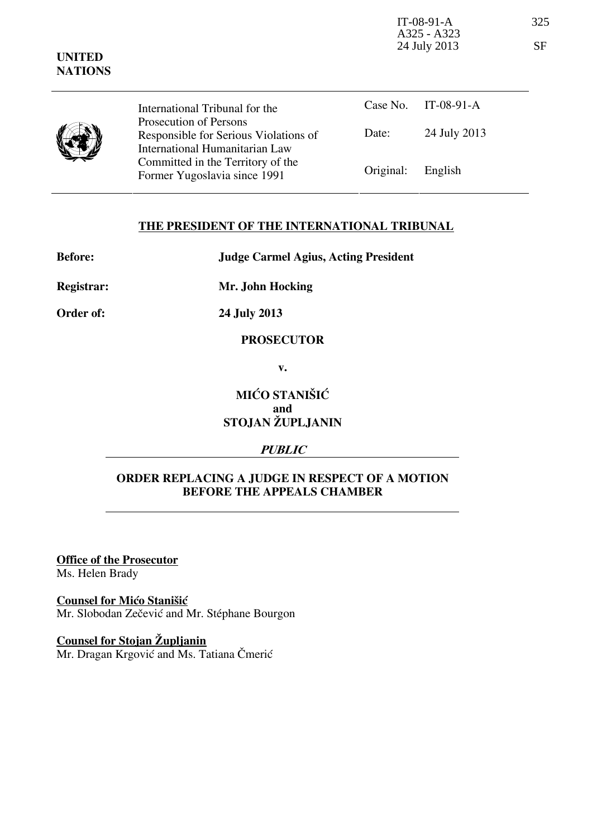| <b>UNITED</b><br><b>NATIONS</b> |                                                                                                   | IT-08-91-A<br>A325 - A323<br>24 July 2013 |              | 325<br><b>SF</b> |
|---------------------------------|---------------------------------------------------------------------------------------------------|-------------------------------------------|--------------|------------------|
|                                 | International Tribunal for the                                                                    | Case No.                                  | $IT-08-91-A$ |                  |
|                                 | Prosecution of Persons<br>Responsible for Serious Violations of<br>International Humanitarian Law | Date:                                     | 24 July 2013 |                  |
|                                 | Committed in the Territory of the<br>Former Yugoslavia since 1991                                 | Original:                                 | English      |                  |

## **THE PRESIDENT OF THE INTERNATIONAL TRIBUNAL**

**Before: Judge Carmel Agius, Acting President** 

**Registrar: Mr. John Hocking** 

**Order of: 24 July 2013** 

#### **PROSECUTOR**

**v.** 

# **MIĆO STANIŠIĆ and STOJAN ŽUPLJANIN**

## **PUBLIC**

## **ORDER REPLACING A JUDGE IN RESPECT OF A MOTION BEFORE THE APPEALS CHAMBER**

**Office of the Prosecutor**

Ms. Helen Brady

**Counsel for Mićo Stanišić** Mr. Slobodan Zečević and Mr. Stéphane Bourgon

**Counsel for Stojan Župljanin** Mr. Dragan Krgović and Ms. Tatiana Čmerić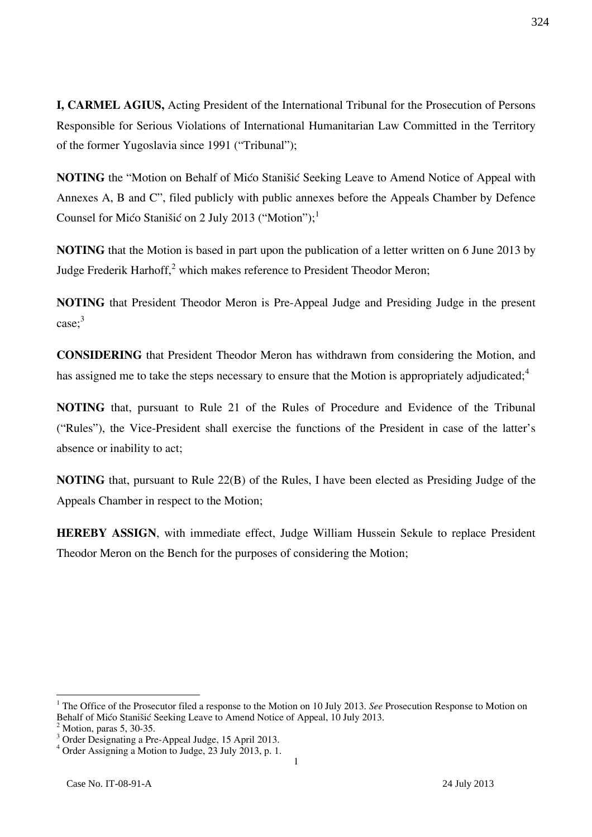**I, CARMEL AGIUS,** Acting President of the International Tribunal for the Prosecution of Persons Responsible for Serious Violations of International Humanitarian Law Committed in the Territory of the former Yugoslavia since 1991 ("Tribunal");

**NOTING** the "Motion on Behalf of Mićo Stanišić Seeking Leave to Amend Notice of Appeal with Annexes A, B and C", filed publicly with public annexes before the Appeals Chamber by Defence Counsel for Mićo Stanišić on 2 July 2013 ("Motion");<sup>1</sup>

**NOTING** that the Motion is based in part upon the publication of a letter written on 6 June 2013 by Judge Frederik Harhoff, $2$  which makes reference to President Theodor Meron;

**NOTING** that President Theodor Meron is Pre-Appeal Judge and Presiding Judge in the present case; 3

**CONSIDERING** that President Theodor Meron has withdrawn from considering the Motion, and has assigned me to take the steps necessary to ensure that the Motion is appropriately adjudicated;<sup>4</sup>

**NOTING** that, pursuant to Rule 21 of the Rules of Procedure and Evidence of the Tribunal ("Rules"), the Vice-President shall exercise the functions of the President in case of the latter's absence or inability to act;

**NOTING** that, pursuant to Rule 22(B) of the Rules, I have been elected as Presiding Judge of the Appeals Chamber in respect to the Motion;

**HEREBY ASSIGN**, with immediate effect, Judge William Hussein Sekule to replace President Theodor Meron on the Bench for the purposes of considering the Motion;

 $\overline{a}$ 

<sup>&</sup>lt;sup>1</sup> The Office of the Prosecutor filed a response to the Motion on 10 July 2013. *See* Prosecution Response to Motion on Behalf of Mićo Stanišić Seeking Leave to Amend Notice of Appeal, 10 July 2013.

<sup>2</sup> Motion, paras 5, 30-35.

<sup>3</sup> Order Designating a Pre-Appeal Judge, 15 April 2013.

<sup>4</sup> Order Assigning a Motion to Judge, 23 July 2013, p. 1.